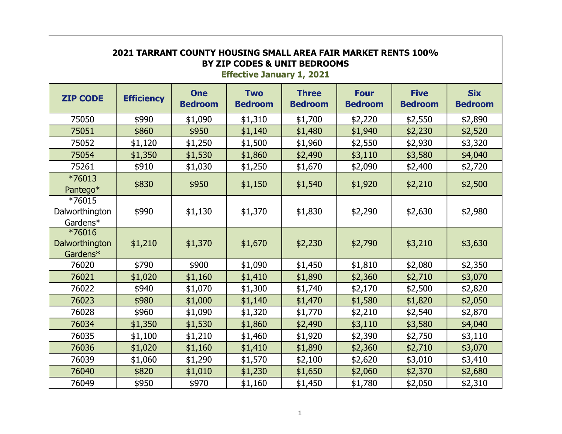| 2021 TARRANT COUNTY HOUSING SMALL AREA FAIR MARKET RENTS 100%<br>BY ZIP CODES & UNIT BEDROOMS<br><b>Effective January 1, 2021</b> |                   |                              |                              |                                |                               |                               |                              |  |
|-----------------------------------------------------------------------------------------------------------------------------------|-------------------|------------------------------|------------------------------|--------------------------------|-------------------------------|-------------------------------|------------------------------|--|
| <b>ZIP CODE</b>                                                                                                                   | <b>Efficiency</b> | <b>One</b><br><b>Bedroom</b> | <b>Two</b><br><b>Bedroom</b> | <b>Three</b><br><b>Bedroom</b> | <b>Four</b><br><b>Bedroom</b> | <b>Five</b><br><b>Bedroom</b> | <b>Six</b><br><b>Bedroom</b> |  |
| 75050                                                                                                                             | \$990             | \$1,090                      | \$1,310                      | \$1,700                        | \$2,220                       | \$2,550                       | \$2,890                      |  |
| 75051                                                                                                                             | \$860             | \$950                        | \$1,140                      | \$1,480                        | \$1,940                       | \$2,230                       | \$2,520                      |  |
| 75052                                                                                                                             | \$1,120           | \$1,250                      | \$1,500                      | \$1,960                        | \$2,550                       | \$2,930                       | \$3,320                      |  |
| 75054                                                                                                                             | \$1,350           | \$1,530                      | \$1,860                      | \$2,490                        | \$3,110                       | \$3,580                       | \$4,040                      |  |
| 75261                                                                                                                             | \$910             | \$1,030                      | \$1,250                      | \$1,670                        | \$2,090                       | \$2,400                       | \$2,720                      |  |
| *76013<br>Pantego*                                                                                                                | \$830             | \$950                        | \$1,150                      | \$1,540                        | \$1,920                       | \$2,210                       | \$2,500                      |  |
| *76015<br>Dalworthington<br>Gardens*                                                                                              | \$990             | \$1,130                      | \$1,370                      | \$1,830                        | \$2,290                       | \$2,630                       | \$2,980                      |  |
| *76016<br>Dalworthington<br>Gardens*                                                                                              | \$1,210           | \$1,370                      | \$1,670                      | \$2,230                        | \$2,790                       | \$3,210                       | \$3,630                      |  |
| 76020                                                                                                                             | \$790             | \$900                        | \$1,090                      | \$1,450                        | \$1,810                       | \$2,080                       | \$2,350                      |  |
| 76021                                                                                                                             | \$1,020           | \$1,160                      | \$1,410                      | \$1,890                        | \$2,360                       | \$2,710                       | \$3,070                      |  |
| 76022                                                                                                                             | \$940             | \$1,070                      | \$1,300                      | \$1,740                        | \$2,170                       | \$2,500                       | \$2,820                      |  |
| 76023                                                                                                                             | \$980             | \$1,000                      | \$1,140                      | \$1,470                        | \$1,580                       | \$1,820                       | \$2,050                      |  |
| 76028                                                                                                                             | \$960             | \$1,090                      | \$1,320                      | \$1,770                        | \$2,210                       | \$2,540                       | \$2,870                      |  |
| 76034                                                                                                                             | \$1,350           | \$1,530                      | \$1,860                      | \$2,490                        | \$3,110                       | \$3,580                       | \$4,040                      |  |
| 76035                                                                                                                             | \$1,100           | \$1,210                      | \$1,460                      | \$1,920                        | \$2,390                       | \$2,750                       | \$3,110                      |  |
| 76036                                                                                                                             | \$1,020           | \$1,160                      | \$1,410                      | \$1,890                        | \$2,360                       | \$2,710                       | \$3,070                      |  |
| 76039                                                                                                                             | \$1,060           | \$1,290                      | \$1,570                      | \$2,100                        | \$2,620                       | \$3,010                       | \$3,410                      |  |
| 76040                                                                                                                             | \$820             | \$1,010                      | \$1,230                      | \$1,650                        | \$2,060                       | \$2,370                       | \$2,680                      |  |
| 76049                                                                                                                             | \$950             | \$970                        | \$1,160                      | \$1,450                        | \$1,780                       | \$2,050                       | \$2,310                      |  |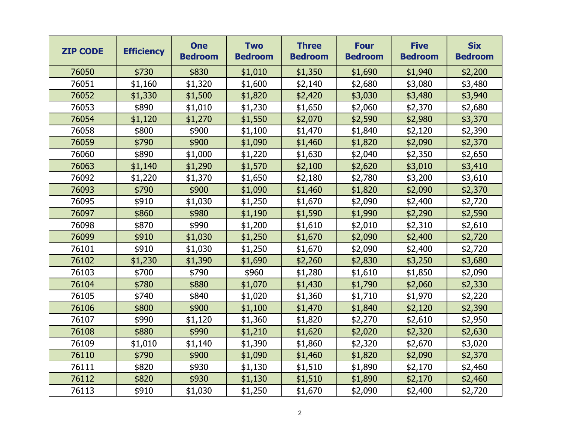| <b>ZIP CODE</b> | <b>Efficiency</b> | <b>One</b><br><b>Bedroom</b> | <b>Two</b><br><b>Bedroom</b> | <b>Three</b><br><b>Bedroom</b> | <b>Four</b><br><b>Bedroom</b> | <b>Five</b><br><b>Bedroom</b> | <b>Six</b><br><b>Bedroom</b> |
|-----------------|-------------------|------------------------------|------------------------------|--------------------------------|-------------------------------|-------------------------------|------------------------------|
| 76050           | \$730             | \$830                        | \$1,010                      | \$1,350                        | \$1,690                       | \$1,940                       | \$2,200                      |
| 76051           | \$1,160           | \$1,320                      | \$1,600                      | \$2,140                        | \$2,680                       | \$3,080                       | \$3,480                      |
| 76052           | \$1,330           | \$1,500                      | \$1,820                      | \$2,420                        | \$3,030                       | \$3,480                       | \$3,940                      |
| 76053           | \$890             | \$1,010                      | \$1,230                      | \$1,650                        | \$2,060                       | \$2,370                       | \$2,680                      |
| 76054           | \$1,120           | \$1,270                      | \$1,550                      | \$2,070                        | \$2,590                       | \$2,980                       | \$3,370                      |
| 76058           | \$800             | \$900                        | \$1,100                      | \$1,470                        | \$1,840                       | \$2,120                       | \$2,390                      |
| 76059           | \$790             | \$900                        | \$1,090                      | \$1,460                        | \$1,820                       | \$2,090                       | \$2,370                      |
| 76060           | \$890             | \$1,000                      | \$1,220                      | \$1,630                        | \$2,040                       | \$2,350                       | \$2,650                      |
| 76063           | \$1,140           | \$1,290                      | \$1,570                      | \$2,100                        | \$2,620                       | \$3,010                       | \$3,410                      |
| 76092           | \$1,220           | \$1,370                      | \$1,650                      | \$2,180                        | \$2,780                       | \$3,200                       | \$3,610                      |
| 76093           | \$790             | \$900                        | \$1,090                      | \$1,460                        | \$1,820                       | \$2,090                       | \$2,370                      |
| 76095           | \$910             | \$1,030                      | \$1,250                      | \$1,670                        | \$2,090                       | \$2,400                       | \$2,720                      |
| 76097           | \$860             | \$980                        | \$1,190                      | \$1,590                        | \$1,990                       | \$2,290                       | \$2,590                      |
| 76098           | \$870             | \$990                        | \$1,200                      | \$1,610                        | \$2,010                       | \$2,310                       | \$2,610                      |
| 76099           | \$910             | \$1,030                      | \$1,250                      | \$1,670                        | \$2,090                       | \$2,400                       | \$2,720                      |
| 76101           | \$910             | \$1,030                      | \$1,250                      | \$1,670                        | \$2,090                       | \$2,400                       | \$2,720                      |
| 76102           | \$1,230           | \$1,390                      | \$1,690                      | \$2,260                        | \$2,830                       | \$3,250                       | \$3,680                      |
| 76103           | \$700             | \$790                        | \$960                        | \$1,280                        | \$1,610                       | \$1,850                       | \$2,090                      |
| 76104           | \$780             | \$880                        | \$1,070                      | \$1,430                        | \$1,790                       | \$2,060                       | \$2,330                      |
| 76105           | \$740             | \$840                        | \$1,020                      | \$1,360                        | \$1,710                       | \$1,970                       | \$2,220                      |
| 76106           | \$800             | \$900                        | \$1,100                      | \$1,470                        | \$1,840                       | \$2,120                       | \$2,390                      |
| 76107           | \$990             | \$1,120                      | \$1,360                      | \$1,820                        | \$2,270                       | \$2,610                       | \$2,950                      |
| 76108           | \$880             | \$990                        | \$1,210                      | \$1,620                        | \$2,020                       | \$2,320                       | \$2,630                      |
| 76109           | \$1,010           | \$1,140                      | \$1,390                      | \$1,860                        | \$2,320                       | \$2,670                       | \$3,020                      |
| 76110           | \$790             | \$900                        | \$1,090                      | \$1,460                        | \$1,820                       | \$2,090                       | \$2,370                      |
| 76111           | \$820             | \$930                        | \$1,130                      | \$1,510                        | \$1,890                       | \$2,170                       | \$2,460                      |
| 76112           | \$820             | \$930                        | \$1,130                      | \$1,510                        | \$1,890                       | \$2,170                       | \$2,460                      |
| 76113           | \$910             | \$1,030                      | \$1,250                      | \$1,670                        | \$2,090                       | \$2,400                       | \$2,720                      |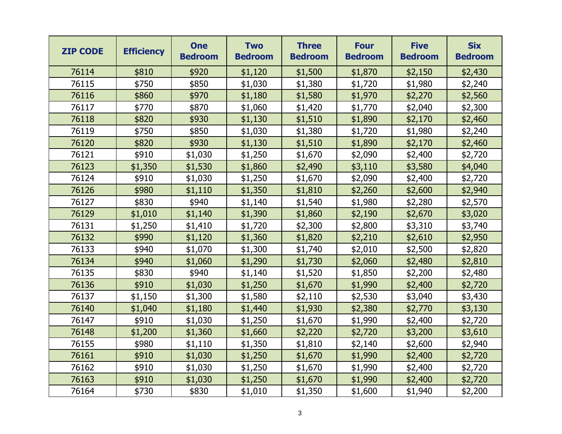| <b>ZIP CODE</b> | <b>Efficiency</b> | <b>One</b><br><b>Bedroom</b> | <b>Two</b><br><b>Bedroom</b> | <b>Three</b><br><b>Bedroom</b> | <b>Four</b><br><b>Bedroom</b> | <b>Five</b><br><b>Bedroom</b> | <b>Six</b><br><b>Bedroom</b> |
|-----------------|-------------------|------------------------------|------------------------------|--------------------------------|-------------------------------|-------------------------------|------------------------------|
| 76114           | \$810             | \$920                        | \$1,120                      | \$1,500                        | \$1,870                       | \$2,150                       | \$2,430                      |
| 76115           | \$750             | \$850                        | \$1,030                      | \$1,380                        | \$1,720                       | \$1,980                       | \$2,240                      |
| 76116           | \$860             | \$970                        | \$1,180                      | \$1,580                        | \$1,970                       | \$2,270                       | \$2,560                      |
| 76117           | \$770             | \$870                        | \$1,060                      | \$1,420                        | \$1,770                       | \$2,040                       | \$2,300                      |
| 76118           | \$820             | \$930                        | \$1,130                      | \$1,510                        | \$1,890                       | \$2,170                       | \$2,460                      |
| 76119           | \$750             | \$850                        | \$1,030                      | \$1,380                        | \$1,720                       | \$1,980                       | \$2,240                      |
| 76120           | \$820             | \$930                        | \$1,130                      | \$1,510                        | \$1,890                       | \$2,170                       | \$2,460                      |
| 76121           | \$910             | \$1,030                      | \$1,250                      | \$1,670                        | \$2,090                       | \$2,400                       | \$2,720                      |
| 76123           | \$1,350           | \$1,530                      | \$1,860                      | \$2,490                        | \$3,110                       | \$3,580                       | \$4,040                      |
| 76124           | \$910             | \$1,030                      | \$1,250                      | \$1,670                        | \$2,090                       | \$2,400                       | \$2,720                      |
| 76126           | \$980             | \$1,110                      | \$1,350                      | \$1,810                        | \$2,260                       | \$2,600                       | \$2,940                      |
| 76127           | \$830             | \$940                        | \$1,140                      | \$1,540                        | \$1,980                       | \$2,280                       | \$2,570                      |
| 76129           | \$1,010           | \$1,140                      | \$1,390                      | \$1,860                        | \$2,190                       | \$2,670                       | \$3,020                      |
| 76131           | \$1,250           | \$1,410                      | \$1,720                      | \$2,300                        | \$2,800                       | \$3,310                       | \$3,740                      |
| 76132           | \$990             | \$1,120                      | \$1,360                      | \$1,820                        | \$2,210                       | \$2,610                       | \$2,950                      |
| 76133           | \$940             | \$1,070                      | \$1,300                      | \$1,740                        | \$2,010                       | \$2,500                       | \$2,820                      |
| 76134           | \$940             | \$1,060                      | \$1,290                      | \$1,730                        | \$2,060                       | \$2,480                       | \$2,810                      |
| 76135           | \$830             | \$940                        | \$1,140                      | \$1,520                        | \$1,850                       | \$2,200                       | \$2,480                      |
| 76136           | \$910             | \$1,030                      | \$1,250                      | \$1,670                        | \$1,990                       | \$2,400                       | \$2,720                      |
| 76137           | \$1,150           | \$1,300                      | \$1,580                      | \$2,110                        | \$2,530                       | \$3,040                       | \$3,430                      |
| 76140           | \$1,040           | \$1,180                      | \$1,440                      | \$1,930                        | \$2,380                       | \$2,770                       | \$3,130                      |
| 76147           | \$910             | \$1,030                      | \$1,250                      | \$1,670                        | \$1,990                       | \$2,400                       | \$2,720                      |
| 76148           | \$1,200           | \$1,360                      | \$1,660                      | \$2,220                        | \$2,720                       | \$3,200                       | \$3,610                      |
| 76155           | \$980             | \$1,110                      | \$1,350                      | \$1,810                        | \$2,140                       | \$2,600                       | \$2,940                      |
| 76161           | \$910             | \$1,030                      | \$1,250                      | \$1,670                        | \$1,990                       | \$2,400                       | \$2,720                      |
| 76162           | \$910             | \$1,030                      | \$1,250                      | \$1,670                        | \$1,990                       | \$2,400                       | \$2,720                      |
| 76163           | \$910             | \$1,030                      | \$1,250                      | \$1,670                        | \$1,990                       | \$2,400                       | \$2,720                      |
| 76164           | \$730             | \$830                        | \$1,010                      | \$1,350                        | \$1,600                       | \$1,940                       | \$2,200                      |